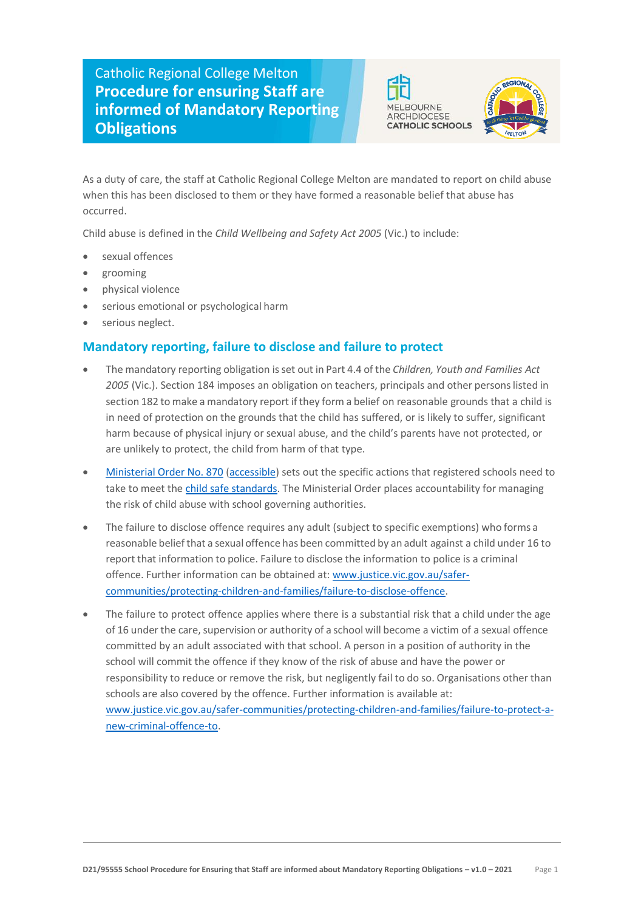## Catholic Regional College Melton **Procedure for ensuring Staff are informed of Mandatory Reporting Obligations**





As a duty of care, the staff at Catholic Regional College Melton are mandated to report on child abuse when this has been disclosed to them or they have formed a reasonable belief that abuse has occurred.

Child abuse is defined in the *Child Wellbeing and Safety Act 2005* (Vic.) to include:

- sexual offences
- grooming
- physical violence
- serious emotional or psychological harm
- serious neglect.

## **Mandatory reporting, failure to disclose and failure to protect**

- The mandatory reporting obligation isset out in Part 4.4 of the *Children, Youth and Families Act*  2005 (Vic.). Section 184 imposes an obligation on teachers, principals and other persons listed in section 182 to make a mandatory report if they form a belief on reasonable grounds that a child is in need of protection on the grounds that the child has suffered, or is likely to suffer, significant harm because of physical injury or sexual abuse, and the child's parents have not protected, or are unlikely to protect, the child from harm of that type.
- [Ministerial Order No. 870](https://www.vrqa.vic.gov.au/childsafe/Pages/documents/Min%20Order%20870%20Child%20Safe%20Standards.pdf) [\(accessible\)](https://www.vrqa.vic.gov.au/childsafe/Pages/documents/Min%20Order%20870%20Child%20Safe%20Standards%20Accessible.docx) sets out the specific actions that registered schools need to take to meet the [child safe standards.](https://www.vrqa.vic.gov.au/childsafe/Pages/standards.aspx) The Ministerial Order places accountability for managing the risk of child abuse with school governing authorities.
- The failure to disclose offence requires any adult (subject to specific exemptions) who forms a reasonable beliefthat a sexual offence has been committed by an adult against a child under 16 to report that information to police. Failure to disclose the information to police is a criminal offence. Further information can be obtained at: [www.justice.vic.gov.au/safer](https://www.justice.vic.gov.au/safer-communities/protecting-children-and-families/failure-to-disclose-offence)[communities/protecting-children-and-families/failure-to-disclose-offence.](https://www.justice.vic.gov.au/safer-communities/protecting-children-and-families/failure-to-disclose-offence)
- The failure to protect offence applies where there is a substantial risk that a child under the age of 16 under the care, supervision or authority of a school will become a victim of a sexual offence committed by an adult associated with that school. A person in a position of authority in the school will commit the offence if they know of the risk of abuse and have the power or responsibility to reduce or remove the risk, but negligently fail to do so. Organisations other than schools are also covered by the offence. Further information is available at: [www.justice.vic.gov.au/safer-communities/protecting-children-and-families/failure-to-protect-a](https://www.justice.vic.gov.au/safer-communities/protecting-children-and-families/failure-to-protect-a-new-criminal-offence-to)[new-criminal-offence-to.](https://www.justice.vic.gov.au/safer-communities/protecting-children-and-families/failure-to-protect-a-new-criminal-offence-to)